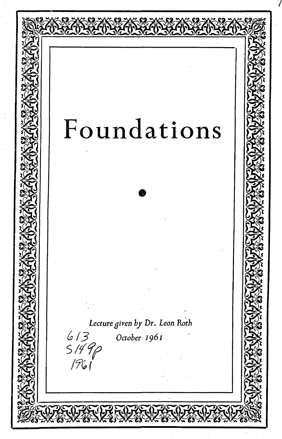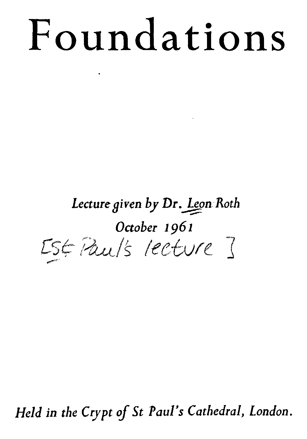# **Foundations**

.

### *Lecture Oi yen by* **Dr** *.Jgm Roth October 1961 [S(;"i-1tJ.,t!s leetvle ]* ~

*Held* **in** *the Crypt of St Paul's Cathedral, London.*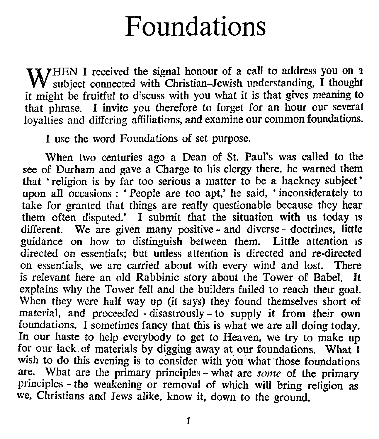## **Foundations**

WHEN I received the signal honour of a call to address you on a subject connected with Christian-Jewish understanding, I thought subject connected with Christian-Jewish understanding. I thought it might be fruitful to discuss with you what it is that gives meaning to that phrase. I invite you therefore to forget for an hour our several loyalties and differing affiliations. and examine our common foundations.

1 use the word Foundations of set purpose.

When two centuries ago a Dean of St. Paul's was called to the see of Durham and gave a Charge to his clergy there. he warned them that 'religion is by far too serious a matter to be a hackney subject' upon all occasions : 'People are too apt,' he said, 'inconsiderately to take for granted that things are really questionable because they hear them often disputed.' I submit that the situation with us today is different. We are given many positive - and diverse - doctrines, little guidance on how to distinguish between them. Little attention 1S directed on essentials; but unless attention is directed and re-directed on essentials. we are carried about with every wind and lost. There is relevant here an old Rabbinic story about the Tower of Babel. It explains why the Tower fell and the builders failed to reach their goal. When they were half way up (it says) they found themselves short of material. and proceeded - disastrously - to supply it from their own foundations. I sometimes fancy that this is what we are all doing today. In our haste to help everybody to get to Heaven. we try to make up for our lack of materials by digging away at our foundations. What 1 wish to do this evening is to consider with you what those foundations are. What are the primary principles - what are *some* of the primary principles - the weakening or removal of which will bring religion as we. Christians and Jews alike. know it. down to the ground.

1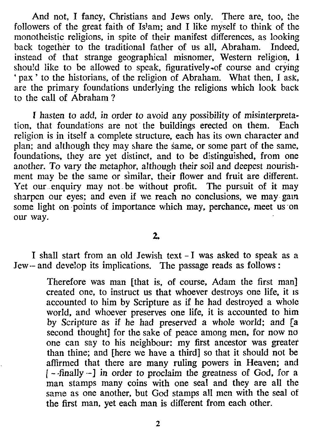And not, I fancy, Christians and Jews only. There are, too, the followers of the great faith of Islam; and I like myself to think of the monotheistic religions, in spite of their manifest differences, as looking back together to the traditional father of us all, Abraham. Indeed, instead of that strange geographical misnomer, Western religion, 1 should like to be allowed to speak, figuratively-of course and crying 'pax' to the historians, of the religion of Abraham. What then, I ask, are the primary foundations underlying the religions which look back to the call of Abraham ?

I hasten to add, in order to avoid any possibility of misinterpretation, that foundations are not the buildings erected on them. Each religion is in itself a complete structure, each has its own character and plan; and although they may share the same, or some part of the same, foundations, they are yet distinct, and to be distinguished, from one another. To vary the metaphor, although their soil and deepest nourishment may be the same or similar, their flower and fruit are different. Yet our enquiry may not be without profit. The pursuit of it may sharpen our eyes; and even if we reach no conclusions, we may gam some light on points of importance which may, perchance, meet us on our way.

#### $2.$

I shall start from an old Jewish text - I was asked to speak as a Jew-- and develop its implications. The passage reads as follows:

> Therefore was man [that is, of course, Adam the first man] created one, to instruct us that whoever destroys one life, it IS accounted to him by Scripture as if he had destroyed a whole world, and whoever preserves one life, it is accounted to him by Scripture as if he had preserved a whole world; and [a second thought] for the sake of peace among men, for now no one can say to his neighbour: my first ancestor was greater than thine; and [here we have a third] so that it should not be affirmed that there are many ruling powers in Heaven; and *<sup>1</sup> -* -finally --] in order to proclaim the greatness of God. for a man stamps many coins with one seal and they are all the same as one another, but God stamps all men with the seal of the first man, yet each man is different from each other.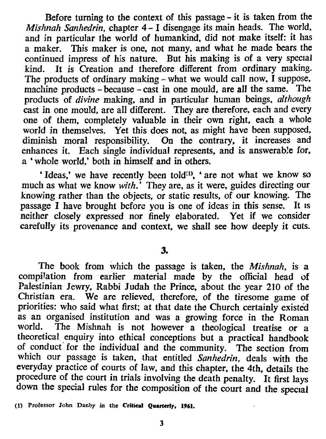Before turning to the context of this passage - it is taken from the *Mishnah Sanhedrin,* chapter 4 - I disengage its main heads. The world, and in particular the world of humankind, did not make itself: it has a maker. This maker is one. not many. and what he made bears the continued impress of his nature. But his making is of a very special kind. It is Creation and therefore different from ordinary making. The products of ordinary making - what we would call now, I suppose, machine products - because - cast in one mould, are all the same. The products of *divine* making. and in particular human beings. *although* cast in one mould. are all different. They are therefore. each and every one of them. completely valuable in their own right. each a whole world in themselves. Yet this does not. as might have been supposed. diminish moral responsibility. On the contrary, it increases and enhances it. Each single individual represents, and is answerable for, a 'whole world,' both in himself and in others.

'Ideas,' we have recently been told<sup>(1)</sup>, ' are not what we know so much as what we know *with*.' They are, as it were, guides directing our knowing rather than the objects. or static results. of our knowing. The passage I have brought before you is one of ideas in this sense. It IS neither closely expressed nor finely elaborated. Yet if we consider carefully its provenance and context. we shall see how deeply it cuts.

3.

The book from which the passage is taken. the *Mishnah.* is a compilation from earlier material made by the official head of Palestinian Jewry, Rabbi Judah the Prince, about the year 210 of the Christian era. We are relieved. therefore. of the tiresome game of priorities: who said what first; at that date the Church certainly existed as an organised institution and was a growing force in the Roman world. The Mishnah is not however a theological treatise or a theoretical enquiry into ethical conceptions but a practical handbook of conduct for the individual and the community. The section from which our passage is taken. that entitled *Sanhedrin,* deals with the everyday practice of courts of law, and this chapter, the 4th, details the procedure of the court in trials involving the death penalty. It first lays down the special rules for the composition of the court and the special

(1) Professor John Danby in the Critical Quarterly, 1961.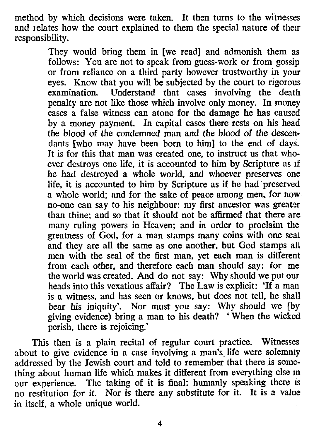method by which decisions were taken. It then turns to the witnesses and relates how the court explained to them the special nature of their responsibility.

> They would bring them in [we read] and admonish them as follows: You are not to speak from guess-work or from gossip or from reliance on a third party however trustworthy in your eyes. Know that you will be subjected by the court to rigorous<br>examination. Understand that cases involving the death Understand that cases involving the death penalty are not like those which involve only money. In money cases a false witness can atone for the damage he has caused by a money payment. In capital cases there rests on his head the blood of the condemned man and the blood of the descendants [who may have been born to him] to the end of days. It is for this that man was created one, to instruct us that whoever destroys one life, it is accounted to him by Scripture as If he had destroyed a whole world, and whoever preserves one life, it is accounted to him by Scripture as if he had 'preserved a whole world; and for the sake of peace among men; for now no-one can say to his neighbour: my first ancestor was greater than thine; and so that it should not be affirmed that there are many ruling powers in Heaven; and in order to proclaim the greatness of God, for a man stamps many coins with one seal and they are all the same as one another, but God stamps all men with the seal of the first man, yet each man is different from each other, and therefore each man should say: for me the world was created. And do not say: Why should we put our heads into this vexatious affair? The Law is explicit: 'If a man is a witness, and has seen or knows, but does not tell, he shall bear his iniquity'. Nor must you say: Why should we [by giving evidence) bring a man to his death? 'When the wicked perish, there is rejoicing.'

This then is a plain recital of regular court practice. Witnesses about to give evidence in a case involving a man's life were solemnly addressed by the Jewish court and told to remember that there is something about human life which makes it different from everything else in our experience. The taking of it is final: humanly speaking there is no restitution for it. Nor is there any substitute for it. It is a value in itself. a whole unique world.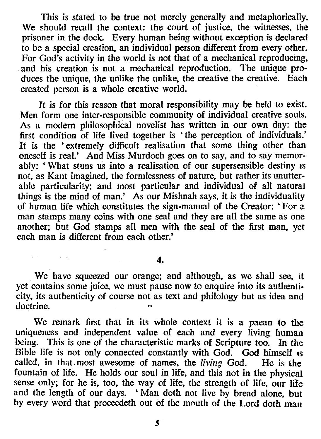This is stated to be true not merely generally and metaphorically. We should recall the context: the court of justice. the witnesses. the prisoner in the dock. Every human being without exception is declared to be a special creation. an individual person different from every other. For God's activity in the world is not that of a mechanical reproducing, .and his creation is not a mechanical reproduction. The unique produces the unique, the unlike the unlike, the creative the creative. Each created person is a whole creative world.

It is for this reason that moral responsibility may be held to exist. Men form one inter-responsible community of individual creative souls. As a modern philosophical novelist has written in our own day: the first condition of life lived together is 'the perception of individuals.' It is the 'extremely difficult realisation that some thing other than oneself is real.' And Miss Murdoch goes on to say. and to say memorably: 'What stuns us into a realisation of our supersensible destiny is not. as Kant imagined. the formlessness of nature. but rather its unutterable particularity; and most particular and individual of all natura! things is the mind of man.' As our Mishnah says. it is the individuality of human life which constitutes the sign-manual of the Creator: 'For a man stamps many coins with one seal and they are all the same as one another; but God stamps all men with the seal of the first man. yet each man is different from each other.'

#### 4.

and the company

We have squeezed our orange; and although. as we shall see, it yet contains some juice. we must pause now to enquire into its authenticity. its authenticity of course not as text and philology but as idea and doctrine.

We remark first that in its whole context it is a paean to the uniqueness and independent value of each and every living human being. This is one of the characteristic marks of Scripture too. In the Bible life is not only connected constantly with God. God himself is called. in that, most awesome of names. the *living* God. He is the fountain of life. He holds our soul in life. and this not in the physical sense only; for he is. too. the way of life. the strength of life. our life and the length of our days. 'Man doth not live by bread alone, but by every word that proceedeth out of the mouth of the Lord doth man

 $\mathbf{S}$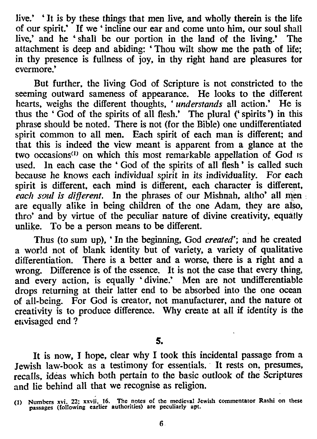live.' 'It is by these things that men live, and wholly therein is the life of our spirit: If we ' incline our ear and come unto him, our soul shall live: and he 'shall be our portion in the land of the living.' The attachment is deep and abiding: 'Thou wilt show me the path of life; in thy presence is fullness of joy, in thy right hand are pleasures tor evermore.'

But further, the living God of Scripture is not constricted to the seeming outward sameness of appearance. He looks to the different hearts, weighs the different thoughts, • *understands* all action.' He is thus the • God of the spirits of all flesh.' The plural (' spirits') in this phrase should be noted. There is not (for the Bible) one undifferentiated spirit common to all men. Each spirit of each man is different; and that this is indeed the view meant is apparent from a glance at the two occasions<sup>(1)</sup> on which this most remarkable appellation of God is used. In each case the 'God of the spirits of all flesh' is called such because he knows each individual spirit in its individuality. For each spirit is different. each mind is different, each character is different, *each S9U! is different.* In the phrases of our Mishnah, altho' all men are equally alike in being children of the one Adam, they are also, thro' and by virtue of the peculiar nature of divine creativity, equally unlike. To be a person means to be different.

Thus (to sum up), 'In the beginning, God *created';* and he created a world not of blank identity but of variety, a variety of qualitative differentiation. There is a better and a worse, there is a right and a wrong. Difference is of the essence. It is not the case that every thing, and every action, is equally 'divine.' Men are not undifferentiable drops returning at their latter end to be absorbed into the one ocean of all-being. For God is creator, not manufacturer, and the nature ot creativity is to produce difference. Why create at all if identity is the envisaged end ?

5.

It is now, I hope, clear why I took this incidental passage from a Jewish law-book as a testimony for essentials. It rests on, presumes, recalls, ideas which both pertain to the basic outlook of the Scriptures and lie behind all that we recognise as religion.

<sup>(</sup>I) Numbers xvi, 22; xxvii, 16. The notes of the medieval Jewish commentator Rashi on these passages (following earlier authorities) are peculiarly apt.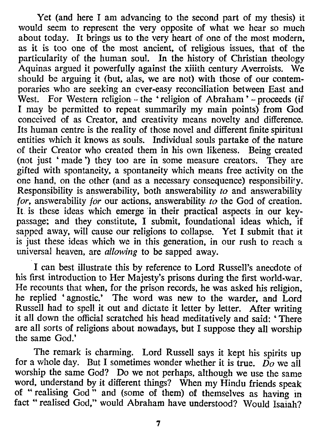Yet (and here I am advancing to the second part of my thesis) it would seem to represent the very opposite of what we hear so much about today. It brings us to the very heart of one of the most modern, as it is too one of the most ancient, of religious issues, that of the particularity of the human soul. In the history of Christian theology Aquinas argued it powerfully against the xiiith century Averroists. We should be arguing it (but, alas, we are not) with those of our contemporaries who are seeking an ever-easy reconciliation between East and West. For Western religion - the 'religion of Abraham' - proceeds (if I may be permitted to repeat summarily my main points) from God conceived of as Creator, and creativity means novelty and difference. Its human centre is the reality of those novel and different finite spiritual entities which it knows as souls. Individual souls partake of the nature of their Creator who created them in his own likeness. Being created (not just 'made ') they too are in some measure creators. They are gifted with spontaneity, a spontaneity which means free activity on the one hand, on the other (and as a necessary consequence) responsibility. Responsibility is answerability, both answerability *to* and answerability *for,* answerability *for* our actions, answerability *to* the God of creation. It is these ideas which emerge in their practical aspects in our keypassage; and they constitute, I submit, foundational ideas which, if sapped away, will cause our religions to collapse. Yet I submit that *it* is just these ideas which we in this generation, in our rush to reach a universal heaven, are *allowing* to be sapped away.

I can best illustrate this by reference to Lord Russell's anecdote of his first introduction to Her Majesty's prisons during the first world-war. He recounts that when, for the prison records. he was asked his religion, he replied 'agnostic.' The word was new to the warder, and Lord Russell had to spell it out and dictate it letter by letter. After writing it all down the official scratched his head meditatively and said: 'There are all sorts of religions about nowadays, but I suppose they all worship the same God.'

The remark is charming. Lord Russell says it kept his spirits up for a whole day. But I sometimes wonder whether it is true. *Do* we all worship the same God? Do we not perhaps, although we use the same word, understand by it different things? When my Hindu friends speak of "realising God" and (some of them) of themselves as having in fact " realised God," would Abraham have understood? Would Isaiah?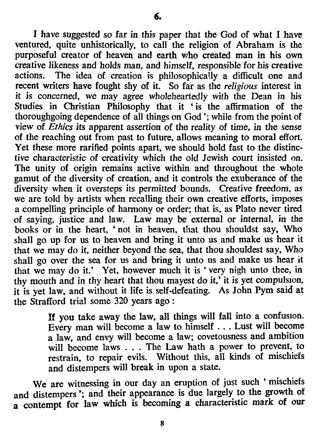I have suggested so far in this paper that the God of what I have ventured. quite unhistorically, to call the religion of Abraham is the purposeful creator of heaven and earth who created man in his own creative likeness and holds man. and himself. responsible for his creative actions. The idea of creation is philosophically a difficult one and recent writers have fought shy of it. So far as the *religious* interest in it *is* concerned. we may agree wholeheartedly with the Dean *in* his Studies in Christian Philosophy that it 'is the affirmation of the thoroughgoing dependence of all things on God '; while from the point of view of *Ethics its* apparent assertion of the reality of time. in the sense of the reaching out from past to future, allows meaning to moral effort. Yet these more rarified points apart. we should hold fast to the distinctive characteristic of creativity which the old Jewish court insisted on. The unity of origin remains active within and throughout the whole gamut of the diversity of creation. and it controls the exuberance of the diversity when it oversteps its permitted bounds. Creative freedom. as we are told by artists when recalling their own creative efforts, imposes a compelling principle of harmony or order; that is. as Plato never tired of saying. justice and law. Law may be external or internal. in the books or in the heart. • not in heaven. that thou shouldst say, Who shall go up for us to heaven and bring it unto us and make us hear it that we may do it. neither beyond the sea. that thou shouldest say. Who shall go over the sea for us and bring it unto us and make us hear it that we may do it.' Yet, however much it is 'very nigh unto thee, in thy mouth and in thy heart that thou mayest do it,' it is yet compulsion it is yet law, and without it life is self-defeating. As John Pym said at the Strafford trial some 320 years ago:

> If you take away the law, all things will fall into a confusion Every man will become a law to himself ... Lust will become a law, and envy will become a law; covetousness and ambition will become laws . . . The Law hath a power to prevent, to restrain. to repair evils. Without this. all kinds of mischiefs and distempers will break in upon a state.

We are witnessing in our day an eruption of just such 'mischiefs and distempers '; and their appearance is due largely to the growth of a contempt for Jaw which *is* becoming a characteristic mark of our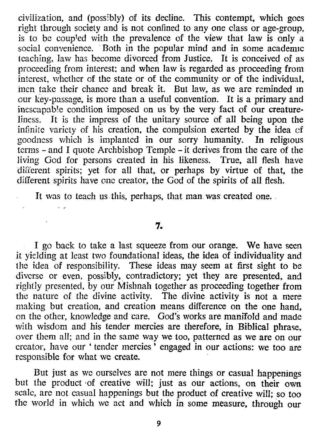civilization, and (possibly) of its decline. This contempt, which goes right through society and is not confined to anyone class or age-group, is to be coupled with the prevalence of the view that law is only a social convenience. Both in the popular mind and in some academic teaching, law has become divorced from Justice. It is conceived of as proceeding from interest: and when law is regarded as proceeding from interest, whether of the state or of the community or of the individual, men take their chance and break it. But law, as we are reminded In our key-passage, is more than a useful convention. It is a primary and inescapable condition imposed on us by the very fact of our creatureliness. It is the impress of the unitary source of all being upon the infinite variety of his creation, the compulsion exerted by the idea of goodness which is implanted in our sorry humanity. In religious terms - and I quote Archbishop Temple - it derives from the care of the living God for persons created in his likeness. True, all flesh have different spirits; yet for all that, or perhaps by virtue of that, the different spirits have one creator, the God of the spirits of all flesh.

It was to teach us this, perhaps, that man was created one.

#### **7.**

I go back to take a last squeeze from our orange. We have seen it yielding at least two foundational ideas, the idea of individuality and the idea of responsibility. These ideas may seem at first sight to be diverse or even, possibly, contradictory; yet they are presented, and rightly presented, by our Mishnah together as proceeding together from the nature of the divine activity. The divine activity is not a mere making but creation, and creation means difference on the one hand, on the other, knowledge and care. God's works are manifold and made with wisdom and his tender mercies are therefore, in Biblical phrase, over them all; and in the same way we too, patterned as we are on our creator, have our' tender mercies' engaged in our actions: we too are responsible for what we create.

But just as we ourselves are not mere things or casual happenings but the product 'of creative will; just as our actions, on their own scale, are not casual happenings but the product of creative will; so too the world in which we act and which in some measure, through our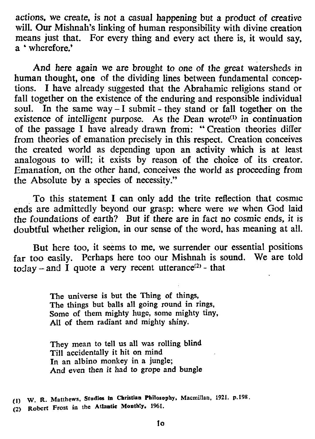actions, we create, is not a casual happening but a product of creative will. Our Mishnah's linking of human responsibility with divine creation means just that. For every thing and every act there is. it would say. a • wherefore.'

And here again we are brought to one of the great watersheds in human thought, one of the dividing lines between fundamental conceptions. I have already suggested that the Abrahamic religions stand or fall together on the existence of the enduring and responsible individual soul. In the same way  $-1$  submit - they stand or fall together on the existence of intelligent purpose. As the Dean wrote<sup>(1)</sup> in continuation of the passage I have already drawn from: "Creation theories differ from theories of emanation precisely in this respect. Creation conceives the created world as depending upon an activity which is at least analogous to will; it exists by reason of the choice of its creator. Emanation, on the other hand. conceives the world as proceeding from the Absolute by a species of necessity."

To this statement I can only add the trite reflection that cosmic ends are admittedly beyond our grasp: where were *we* when God laid the foundations of earth? But if there are in fact no cosmic ends. *it* is doubtful whether religion. in our sense of the word. has meaning at all.

But here too. it seems to me. we surrender our essential positions far too easily. Perhaps here too our Mishnah is sound. We are told today – and  $\tilde{I}$  quote a very recent utterance<sup>(2)</sup> - that

> The universe is but the Thing of things, The things but balls all going round in rings, Some of them mighty huge, some mighty tiny, All of them radiant and mighty shiny.

They mean to tell us all was rolling blind Till accidentally it hit on mind In an albino monkey in a jungle; And even then it had to grope and bungle

(I) W. R. Matthews, Studies in Christian Philosophy. Macmillan, 1921. p.198.

(2) Robert Frost in the Atlantic Montbly, 1961.